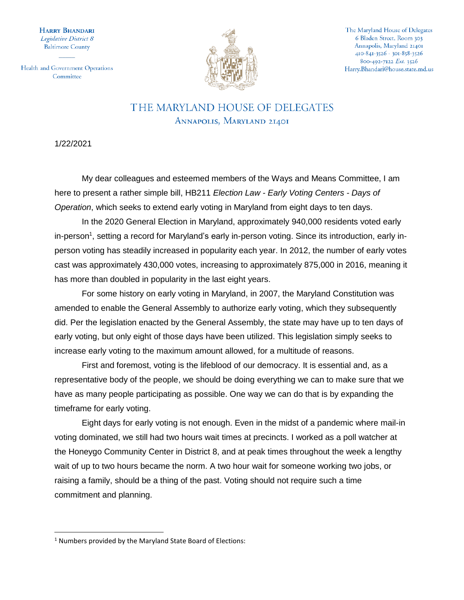HARRY BHANDARI Legislative District 8 **Baltimore County** 

Health and Government Operations Committee



The Maryland House of Delegates 6 Bladen Street, Room 303 Annapolis, Maryland 21401 410-841-3526 · 301-858-3526 800-492-7122 Ext. 3526 Harry.Bhandari@house.state.md.us

## THE MARYLAND HOUSE OF DELEGATES ANNAPOLIS, MARYLAND 21401

1/22/2021

 $\overline{\phantom{a}}$ 

My dear colleagues and esteemed members of the Ways and Means Committee, I am here to present a rather simple bill, HB211 *Election Law - Early Voting Centers - Days of Operation*, which seeks to extend early voting in Maryland from eight days to ten days.

In the 2020 General Election in Maryland, approximately 940,000 residents voted early in-person<sup>1</sup>, setting a record for Maryland's early in-person voting. Since its introduction, early inperson voting has steadily increased in popularity each year. In 2012, the number of early votes cast was approximately 430,000 votes, increasing to approximately 875,000 in 2016, meaning it has more than doubled in popularity in the last eight years.

For some history on early voting in Maryland, in 2007, the Maryland Constitution was amended to enable the General Assembly to authorize early voting, which they subsequently did. Per the legislation enacted by the General Assembly, the state may have up to ten days of early voting, but only eight of those days have been utilized. This legislation simply seeks to increase early voting to the maximum amount allowed, for a multitude of reasons.

First and foremost, voting is the lifeblood of our democracy. It is essential and, as a representative body of the people, we should be doing everything we can to make sure that we have as many people participating as possible. One way we can do that is by expanding the timeframe for early voting.

Eight days for early voting is not enough. Even in the midst of a pandemic where mail-in voting dominated, we still had two hours wait times at precincts. I worked as a poll watcher at the Honeygo Community Center in District 8, and at peak times throughout the week a lengthy wait of up to two hours became the norm. A two hour wait for someone working two jobs, or raising a family, should be a thing of the past. Voting should not require such a time commitment and planning.

<sup>1</sup> Numbers provided by the Maryland State Board of Elections: